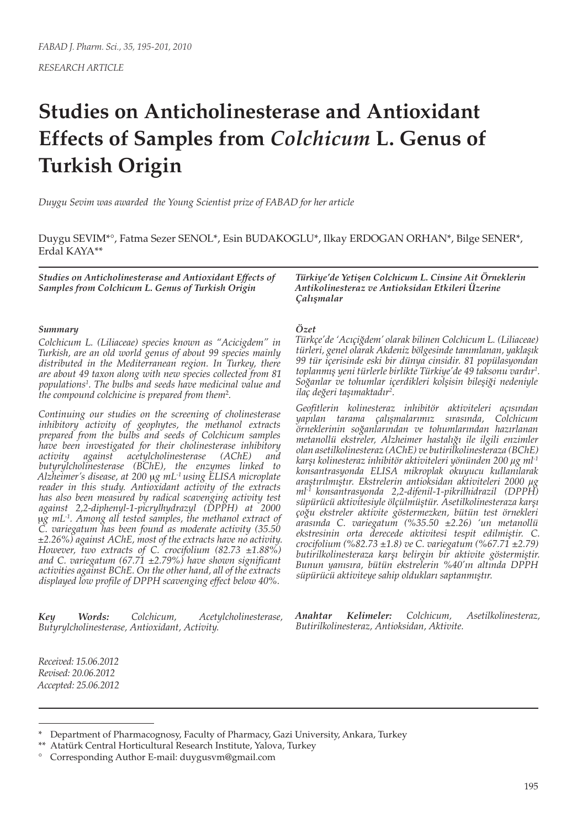# **Studies on Anticholinesterase and Antioxidant Effects of Samples from** *Colchicum* **L. Genus of Turkish Origin**

*Duygu Sevim was awarded the Young Scientist prize of FABAD for her article*

Duygu SEVIM\*°, Fatma Sezer SENOL\*, Esin BUDAKOGLU\*, Ilkay ERDOGAN ORHAN\*, Bilge SENER\*, Erdal KAYA\*\*

*Studies on Anticholinesterase and Antioxidant Effects of Samples from Colchicum L. Genus of Turkish Origin*

#### *Summary*

*Colchicum L. (Liliaceae) species known as "Acicigdem" in Turkish, are an old world genus of about 99 species mainly distributed in the Mediterranean region. In Turkey, there are about 49 taxon along with new species collected from 81 populations1 . The bulbs and seeds have medicinal value and the compound colchicine is prepared from them*<sup>2</sup> *.*

*Continuing our studies on the screening of cholinesterase inhibitory activity of geophytes, the methanol extracts prepared from the bulbs and seeds of Colchicum samples have been investigated for their cholinesterase inhibitory*   $acety lcholinesterase$ *butyrylcholinesterase (BChE), the enzymes linked to Alzheimer's disease, at 200* m*g mL-1 using ELISA microplate reader in this study. Antioxidant activity of the extracts has also been measured by radical scavenging activity test against 2,2-diphenyl-1-picrylhydrazyl (DPPH) at 2000*  m*g mL-1. Among all tested samples, the methanol extract of C. variegatum has been found as moderate activity (35.50 ±2.26%) against AChE, most of the extracts have no activity. However, two extracts of C. crocifolium (82.73 ±1.88%) and C. variegatum (67.71 ±2.79%) have shown significant activities against BChE. On the other hand, all of the extracts displayed low profile of DPPH scavenging effect below 40%.*

*Key Words: Colchicum, Acetylcholinesterase, Butyrylcholinesterase, Antioxidant, Activity.*

*Türkiye'de Yetişen Colchicum L. Cinsine Ait Örneklerin Antikolinesteraz ve Antioksidan Etkileri Üzerine Çalışmalar*

#### *Özet*

*Türkçe'de 'Acıçiğdem' olarak bilinen Colchicum L. (Liliaceae) türleri, genel olarak Akdeniz bölgesinde tanımlanan, yaklaşık 99 tür içerisinde eski bir dünya cinsidir. 81 popülasyondan toplanmış yeni türlerle birlikte Türkiye'de 49 taksonu vardır1 . Soğanlar ve tohumlar içerdikleri kolşisin bileşiği nedeniyle ilaç değeri taşımaktadır2 .*

*Geofitlerin kolinesteraz inhibitör aktiviteleri açısından yapılan tarama çalışmalarımız sırasında, Colchicum örneklerinin soğanlarından ve tohumlarından hazırlanan metanollü ekstreler, Alzheimer hastalığı ile ilgili enzimler olan asetilkolinesteraz (AChE) ve butirilkolinesteraza (BChE) karşı kolinesteraz inhibitör aktiviteleri yönünden 200 µg ml-1 konsantrasyonda ELISA mikroplak okuyucu kullanılarak araştırılmıştır. Ekstrelerin antioksidan aktiviteleri 2000 µg ml-1 konsantrasyonda 2,2-difenil-1-pikrilhidrazil (DPPH) süpürücü aktivitesiyle ölçülmüştür. Asetilkolinesteraza karşı çoğu ekstreler aktivite göstermezken, bütün test örnekleri arasında C. variegatum (%35.50 ±2.26) 'un metanollü ekstresinin orta derecede aktivitesi tespit edilmiştir. C. crocifolium (%82.73 ±1.8) ve C. variegatum (%67.71 ±2.79) butirilkolinesteraza karşı belirgin bir aktivite göstermiştir. Bunun yanısıra, bütün ekstrelerin %40'ın altında DPPH süpürücü aktiviteye sahip oldukları saptanmıştır.*

*Anahtar Kelimeler: Colchicum, Asetilkolinesteraz, Butirilkolinesteraz, Antioksidan, Aktivite.*

*Received: 15.06.2012 Revised: 20.06.2012 Accepted: 25.06.2012*

<sup>\*</sup> Department of Pharmacognosy, Faculty of Pharmacy, Gazi University, Ankara, Turkey

<sup>\*\*</sup> Atatürk Central Horticultural Research Institute, Yalova, Turkey

<sup>°</sup> Corresponding Author E-mail: duygusvm@gmail.com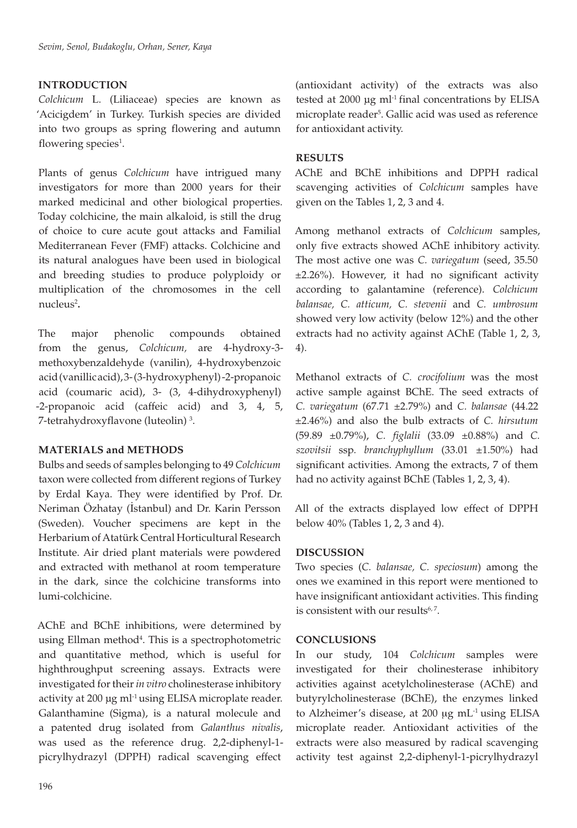# **INTRODUCTION**

*Colchicum* L. (Liliaceae) species are known as 'Acicigdem' in Turkey. Turkish species are divided into two groups as spring flowering and autumn flowering species<sup>1</sup>.

Plants of genus *Colchicum* have intrigued many investigators for more than 2000 years for their marked medicinal and other biological properties. Today colchicine, the main alkaloid, is still the drug of choice to cure acute gout attacks and Familial Mediterranean Fever (FMF) attacks. Colchicine and its natural analogues have been used in biological and breeding studies to produce polyploidy or multiplication of the chromosomes in the cell nucleus<sup>2</sup>.

The major phenolic compounds obtained from the genus, *Colchicum,* are 4-hydroxy-3 methoxybenzaldehyde (vanilin), 4-hydroxybenzoic acid (vanillic acid), 3- (3-hydroxyphenyl) -2-propanoic acid (coumaric acid), 3- (3, 4-dihydroxyphenyl) -2-propanoic acid (caffeic acid) and 3, 4, 5, 7-tetrahydroxyflavone (luteolin) 3 .

## **MATERIALS and METHODS**

Bulbs and seeds of samples belonging to 49 *Colchicum*  taxon were collected from different regions of Turkey by Erdal Kaya. They were identified by Prof. Dr. Neriman Özhatay (İstanbul) and Dr. Karin Persson (Sweden). Voucher specimens are kept in the Herbarium of Atatürk Central Horticultural Research Institute. Air dried plant materials were powdered and extracted with methanol at room temperature in the dark, since the colchicine transforms into lumi-colchicine.

AChE and BChE inhibitions, were determined by using Ellman method<sup>4</sup>. This is a spectrophotometric and quantitative method, which is useful for highthroughput screening assays. Extracts were investigated for their *in vitro* cholinesterase inhibitory activity at 200 µg ml<sup>-1</sup> using ELISA microplate reader. Galanthamine (Sigma), is a natural molecule and a patented drug isolated from *Galanthus nivalis*, was used as the reference drug. 2,2-diphenyl-1 picrylhydrazyl (DPPH) radical scavenging effect

(antioxidant activity) of the extracts was also tested at 2000 µg ml<sup>-1</sup> final concentrations by ELISA microplate reader<sup>5</sup>. Gallic acid was used as reference for antioxidant activity.

## **RESULTS**

AChE and BChE inhibitions and DPPH radical scavenging activities of *Colchicum* samples have given on the Tables 1, 2, 3 and 4.

Among methanol extracts of *Colchicum* samples, only five extracts showed AChE inhibitory activity. The most active one was *C. variegatum* (seed, 35.50 ±2.26%). However, it had no significant activity according to galantamine (reference). *Colchicum balansae, C. atticum, C. stevenii* and *C. umbrosum* showed very low activity (below 12%) and the other extracts had no activity against AChE (Table 1, 2, 3, 4).

Methanol extracts of *C. crocifolium* was the most active sample against BChE. The seed extracts of *C. variegatum* (67.71 ±2.79%) and *C. balansae* (44.22 ±2.46%) and also the bulb extracts of *C. hirsutum* (59.89 ±0.79%), *C. figlalii* (33.09 ±0.88%) and *C. szovitsii* ssp*. branchyphyllum* (33.01 ±1.50%) had significant activities. Among the extracts, 7 of them had no activity against BChE (Tables 1, 2, 3, 4).

All of the extracts displayed low effect of DPPH below 40% (Tables 1, 2, 3 and 4).

## **DISCUSSION**

Two species (*C. balansae, C. speciosum*) among the ones we examined in this report were mentioned to have insignificant antioxidant activities. This finding is consistent with our results $6, 7$ .

## **CONCLUSIONS**

In our study, 104 *Colchicum* samples were investigated for their cholinesterase inhibitory activities against acetylcholinesterase (AChE) and butyrylcholinesterase (BChE), the enzymes linked to Alzheimer's disease, at  $200 \mu g$  mL<sup>-1</sup> using ELISA microplate reader. Antioxidant activities of the extracts were also measured by radical scavenging activity test against 2,2-diphenyl-1-picrylhydrazyl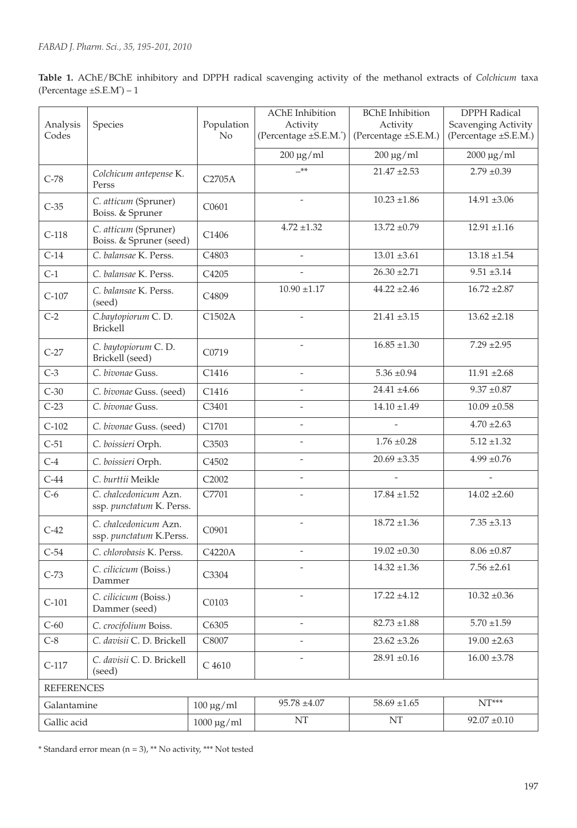| Table 1. AChE/BChE inhibitory and DPPH radical scavenging activity of the methanol extracts of Colchicum taxa |  |  |  |  |  |  |
|---------------------------------------------------------------------------------------------------------------|--|--|--|--|--|--|
| (Percentage $\pm$ S.E.M <sup>*</sup> ) – 1                                                                    |  |  |  |  |  |  |

| Analysis<br>Codes | Species                                           | Population<br>N <sub>o</sub> | AChE Inhibition<br>Activity<br>(Percentage ±S.E.M.*) | <b>BChE</b> Inhibition<br>Activity<br>(Percentage ±S.E.M.) | <b>DPPH</b> Radical<br>Scavenging Activity<br>(Percentage ±S.E.M.) |
|-------------------|---------------------------------------------------|------------------------------|------------------------------------------------------|------------------------------------------------------------|--------------------------------------------------------------------|
|                   |                                                   |                              | $200 \mu g/ml$                                       | $200 \mu g/ml$                                             | $2000 \,\mathrm{\upmu g/ml}$                                       |
| $C-78$            | Colchicum antepense K.<br>Perss                   | C2705A                       | $-***$                                               | $21.47 \pm 2.53$                                           | $2.79 \pm 0.39$                                                    |
| $C-35$            | C. atticum (Spruner)<br>Boiss. & Spruner          | C0601                        | $\overline{\phantom{a}}$                             | $10.23 \pm 1.86$                                           | $14.91 \pm 3.06$                                                   |
| $C-118$           | C. atticum (Spruner)<br>Boiss. & Spruner (seed)   | C1406                        | $4.72 \pm 1.32$                                      | $13.72 \pm 0.79$                                           | $12.91 \pm 1.16$                                                   |
| $C-14$            | C. balansae K. Perss.                             | C4803                        | $\overline{\phantom{a}}$                             | $13.01 \pm 3.61$                                           | $13.18 \pm 1.54$                                                   |
| $C-1$             | C. balansae K. Perss.                             | C4205                        |                                                      | $26.30 \pm 2.71$                                           | $9.51 \pm 3.14$                                                    |
| $C-107$           | C. balansae K. Perss.<br>(seed)                   | C <sub>4809</sub>            | $10.90 \pm 1.17$                                     | $44.22 \pm 2.46$                                           | $16.72 \pm 2.87$                                                   |
| $C-2$             | C.baytopiorum C.D.<br>Brickell                    | C1502A                       | $\overline{\phantom{a}}$                             | $21.41 \pm 3.15$                                           | $13.62 \pm 2.18$                                                   |
| $C-27$            | C. baytopiorum C. D.<br>Brickell (seed)           | C0719                        |                                                      | $16.85 \pm 1.30$                                           | $7.29 \pm 2.95$                                                    |
| $C-3$             | C. bivonae Guss.                                  | C1416                        | $\overline{a}$                                       | $5.36 \pm 0.94$                                            | $11.91 \pm 2.68$                                                   |
| $C-30$            | C. bivonae Guss. (seed)                           | C1416                        |                                                      | $24.41 \pm 4.66$                                           | $9.37 \pm 0.87$                                                    |
| $C-23$            | C. bivonae Guss.                                  | C3401                        | $\overline{\phantom{a}}$                             | $14.10 \pm 1.49$                                           | $10.09 \pm 0.58$                                                   |
| $C-102$           | C. bivonae Guss. (seed)                           | C1701                        | $\overline{\phantom{a}}$                             |                                                            | $4.70 \pm 2.63$                                                    |
| $C-51$            | C. boissieri Orph.                                | C3503                        | $\overline{\phantom{a}}$                             | $1.76 \pm 0.28$                                            | $5.12 \pm 1.32$                                                    |
| $C-4$             | C. boissieri Orph.                                | C <sub>4502</sub>            | $\overline{\phantom{0}}$                             | $20.69 \pm 3.35$                                           | $4.99 \pm 0.76$                                                    |
| $C-44$            | C. burttii Meikle                                 | C2002                        | $\overline{a}$                                       |                                                            |                                                                    |
| $C-6$             | C. chalcedonicum Azn.<br>ssp. punctatum K. Perss. | C7701                        |                                                      | $17.84 \pm 1.52$                                           | $14.02 \pm 2.60$                                                   |
| $C-42$            | C. chalcedonicum Azn.<br>ssp. punctatum K.Perss.  | C0901                        | $\overline{a}$                                       | $18.72 \pm 1.36$                                           | $7.35 \pm 3.13$                                                    |
| $C-54$            | C. chlorobasis K. Perss.                          | C4220A                       | $\overline{a}$                                       | $19.02 \pm 0.30$                                           | $8.06 \pm 0.87$                                                    |
| $C-73$            | C. cilicicum (Boiss.)<br>Dammer                   | C3304                        |                                                      | $14.32 \pm 1.36$                                           | $7.56 \pm 2.61$                                                    |
| $C-101$           | C. cilicicum (Boiss.)<br>Dammer (seed)            | C0103                        |                                                      | $17.22 \pm 4.12$                                           | $10.32 \pm 0.36$                                                   |
| $C-60$            | C. crocifolium Boiss.                             | C6305                        | $\overline{\phantom{m}}$                             | $82.73 \pm 1.88$                                           | $5.70 \pm 1.59$                                                    |
| $C-8$             | C. davisii C. D. Brickell<br>C8007                |                              |                                                      | $23.62 \pm 3.26$                                           | $19.00 \pm 2.63$                                                   |
| $C-117$           | C. davisii C. D. Brickell<br>(seed)               | C 4610                       |                                                      | $28.91 \pm 0.16$                                           | $16.00 \pm 3.78$                                                   |
| <b>REFERENCES</b> |                                                   |                              |                                                      |                                                            |                                                                    |
| Galantamine       |                                                   | $100 \mu g/ml$               | $95.78 \pm 4.07$                                     | $58.69 \pm 1.65$                                           | $NT***$                                                            |
| Gallic acid       |                                                   | $1000 \,\mathrm{\upmu g/ml}$ | $\rm{NT}$                                            | $\rm{NT}$                                                  | $92.07 \pm 0.10$                                                   |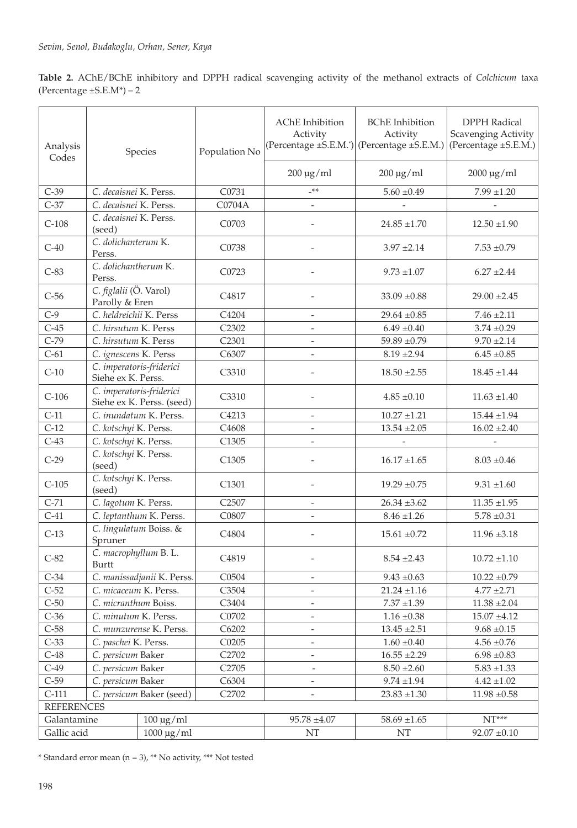**Table 2.** AChE/BChE inhibitory and DPPH radical scavenging activity of the methanol extracts of *Colchicum* taxa (Percentage  $\pm$ S.E.M\*) – 2

| Analysis<br>Codes | Species                                        |                            | Population No     | <b>AChE</b> Inhibition<br>Activity | <b>BChE</b> Inhibition<br>Activity<br>(Percentage ±S.E.M.') (Percentage ±S.E.M.) | <b>DPPH Radical</b><br>Scavenging Activity<br>(Percentage ±S.E.M.) |  |
|-------------------|------------------------------------------------|----------------------------|-------------------|------------------------------------|----------------------------------------------------------------------------------|--------------------------------------------------------------------|--|
|                   |                                                |                            |                   | $200 \mu g/ml$                     | $200 \mu g/ml$                                                                   | $2000 \,\mathrm{\upmu g/mol}$                                      |  |
| $C-39$            | C. decaisnei K. Perss.                         |                            | C0731             | $***$                              | $5.60 \pm 0.49$                                                                  | $7.99 \pm 1.20$                                                    |  |
| $C-37$            | C. decaisnei K. Perss.                         |                            | C0704A            |                                    |                                                                                  |                                                                    |  |
| $C-108$           | C. decaisnei K. Perss.<br>(seed)               |                            | C0703             |                                    | $24.85 \pm 1.70$                                                                 | $12.50 \pm 1.90$                                                   |  |
| $C-40$            | C. dolichanterum K.<br>Perss.                  |                            | C <sub>0738</sub> |                                    | $3.97 \pm 2.14$                                                                  | $7.53 \pm 0.79$                                                    |  |
| $C-83$            | C. dolichantherum K.<br>Perss.                 |                            | C0723             |                                    | $9.73 \pm 1.07$                                                                  | $6.27 \pm 2.44$                                                    |  |
| $C-56$            | C. figlalii (Ö. Varol)<br>Parolly & Eren       |                            | C <sub>4817</sub> |                                    | $33.09 \pm 0.88$                                                                 | $29.00 \pm 2.45$                                                   |  |
| $C-9$             | C. heldreichii K. Perss                        |                            | C4204             |                                    | $29.64 \pm 0.85$                                                                 | $7.46 \pm 2.11$                                                    |  |
| $C-45$            | C. hirsutum K. Perss                           |                            | C2302             |                                    | $6.49 \pm 0.40$                                                                  | $3.74 \pm 0.29$                                                    |  |
| $C-79$            | C. hirsutum K. Perss                           |                            | C <sub>2301</sub> |                                    | $59.89 \pm 0.79$                                                                 | $9.70 \pm 2.14$                                                    |  |
| $C-61$            | C. ignescens K. Perss                          |                            | C6307             |                                    | $8.19 \pm 2.94$                                                                  | $6.45 \pm 0.85$                                                    |  |
| $C-10$            | C. imperatoris-friderici<br>Siehe ex K. Perss. |                            | C <sub>3310</sub> |                                    | $18.50 \pm 2.55$                                                                 | $18.45 \pm 1.44$                                                   |  |
| $C-106$           | C. imperatoris-friderici                       | Siehe ex K. Perss. (seed)  | C3310             |                                    | $4.85 \pm 0.10$                                                                  | $11.63 \pm 1.40$                                                   |  |
| $C-11$            |                                                | C. inundatum K. Perss.     | C4213             | $\overline{a}$                     | $10.27 + 1.21$                                                                   | $15.44 \pm 1.94$                                                   |  |
| $C-12$            | C. kotschyi K. Perss.                          |                            | C <sub>4608</sub> |                                    | $13.54 + 2.05$                                                                   | $16.02 \pm 2.40$                                                   |  |
| $C-43$            | C. kotschyi K. Perss.                          |                            | C1305             |                                    |                                                                                  |                                                                    |  |
| $C-29$            | C. kotschyi K. Perss.<br>(seed)                |                            | C <sub>1305</sub> |                                    | $16.17 \pm 1.65$                                                                 | $8.03 \pm 0.46$                                                    |  |
| $C-105$           | C. kotschyi K. Perss.<br>(seed)                |                            | C <sub>1301</sub> |                                    | $19.29 \pm 0.75$                                                                 | $9.31 \pm 1.60$                                                    |  |
| $C-71$            | C. lagotum K. Perss.                           |                            | C <sub>2507</sub> |                                    | $26.34 \pm 3.62$                                                                 | $11.35 \pm 1.95$                                                   |  |
| $C-41$            |                                                | C. leptanthum K. Perss.    | C0807             |                                    | $8.46 \pm 1.26$                                                                  | $5.78 \pm 0.31$                                                    |  |
| $C-13$            | C. lingulatum Boiss. &<br>Spruner              |                            | C <sub>4804</sub> |                                    | $15.61 \pm 0.72$                                                                 | $11.96 \pm 3.18$                                                   |  |
| $C-82$            | C. macrophyllum B. L.<br>Burtt                 |                            | C <sub>4819</sub> |                                    | $8.54 \pm 2.43$                                                                  | $10.72 \pm 1.10$                                                   |  |
| $C-34$            |                                                | C. manissadjanii K. Perss. | C0504             | $\overline{\phantom{a}}$           | $9.43 \pm 0.63$                                                                  | $10.22 \pm 0.79$                                                   |  |
| $C-52$            | C. micaceum K. Perss.                          |                            | C3504             | $\overline{\phantom{a}}$           | $21.24 \pm 1.16$                                                                 | $4.77 \pm 2.71$                                                    |  |
| $C-50$            | C. micranthum Boiss.                           |                            | C3404             |                                    | $7.37 \pm 1.39$                                                                  | $11.38 \pm 2.04$                                                   |  |
| $C-36$            | C. minutum K. Perss.                           | C0702                      |                   |                                    | $1.16 \pm 0.38$                                                                  | $15.07 \pm 4.12$                                                   |  |
| $C-58$            |                                                | C. munzurense K. Perss.    | C6202             |                                    | $13.45 \pm 2.51$                                                                 | $9.68 \pm 0.15$                                                    |  |
| $C-33$            | C. paschei K. Perss.                           |                            | C0205             |                                    | $1.60 \pm 0.40$                                                                  | $4.56 \pm 0.76$                                                    |  |
| $C-48$            | C. persicum Baker                              |                            | C2702             |                                    | $16.55 \pm 2.29$                                                                 | $6.98 \pm 0.83$                                                    |  |
| $C-49$            | C. persicum Baker                              |                            | C2705             | $\overline{\phantom{a}}$           | $8.50 \pm 2.60$                                                                  | $5.83 \pm 1.33$                                                    |  |
| $C-59$            | C. persicum Baker                              |                            | C6304             |                                    | $9.74 \pm 1.94$                                                                  | $4.42 \pm 1.02$                                                    |  |
| $C-111$           |                                                | C. persicum Baker (seed)   | C2702             | $\overline{\phantom{0}}$           | $23.83 \pm 1.30$                                                                 | $11.98 \pm 0.58$                                                   |  |
| <b>REFERENCES</b> |                                                |                            |                   |                                    |                                                                                  |                                                                    |  |
| Galantamine       |                                                | $100 \mu g/ml$             |                   | $95.78 \pm 4.07$                   | $58.69 \pm 1.65$                                                                 | $NT***$                                                            |  |
| Gallic acid       |                                                | $1000 \mu g/ml$            |                   | $\rm{NT}$                          | $\rm{NT}$                                                                        | $92.07 \pm 0.10$                                                   |  |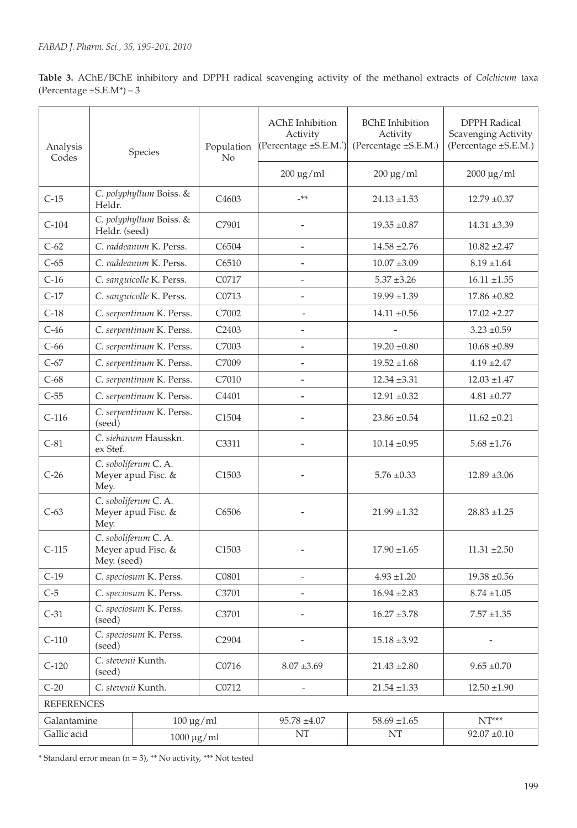**Table 3.** AChE/BChE inhibitory and DPPH radical scavenging activity of the methanol extracts of *Colchicum* taxa (Percentage  $\pm$ S.E.M\*) – 3

| Analysis<br>Codes | Species                                                  |                              | Population<br>No   | <b>AChE</b> Inhibition<br>Activity<br>(Percentage ±S.E.M.*) | <b>BChE</b> Inhibition<br>Activity<br>(Percentage ±S.E.M.) | <b>DPPH Radical</b><br>Scavenging Activity<br>(Percentage ±S.E.M.) |                  |                  |
|-------------------|----------------------------------------------------------|------------------------------|--------------------|-------------------------------------------------------------|------------------------------------------------------------|--------------------------------------------------------------------|------------------|------------------|
|                   |                                                          |                              |                    | $200 \mu g/ml$                                              | $200 \mu g/ml$                                             | $2000 \mu g/ml$                                                    |                  |                  |
| $C-15$            | C. polyphyllum Boiss. &<br>Heldr.                        |                              | C <sub>4603</sub>  | $***$                                                       | $24.13 \pm 1.53$                                           | $12.79 \pm 0.37$                                                   |                  |                  |
| $C-104$           | Heldr. (seed)                                            | C. polyphyllum Boiss. &      | C7901              |                                                             | $19.35 \pm 0.87$                                           | $14.31 \pm 3.39$                                                   |                  |                  |
| $C-62$            |                                                          | C. raddeanum K. Perss.       | C6504              | $\overline{\phantom{a}}$                                    | $14.58 \pm 2.76$                                           | $10.82 \pm 2.47$                                                   |                  |                  |
| $C-65$            |                                                          | C. raddeanum K. Perss.       | C6510              |                                                             | $10.07 \pm 3.09$                                           | $8.19 \pm 1.64$                                                    |                  |                  |
| $C-16$            |                                                          | C. sanguicolle K. Perss.     | C0717              |                                                             | $5.37 \pm 3.26$                                            | $16.11 \pm 1.55$                                                   |                  |                  |
| $C-17$            |                                                          | C. sanguicolle K. Perss.     | C0713              | $\overline{\phantom{a}}$                                    | $19.99 \pm 1.39$                                           | $17.86 \pm 0.82$                                                   |                  |                  |
| $C-18$            |                                                          | C. serpentinum K. Perss.     | C7002              |                                                             | $14.11 \pm 0.56$                                           | $17.02 \pm 2.27$                                                   |                  |                  |
| $C-46$            |                                                          | C. serpentinum K. Perss.     | C2403              |                                                             |                                                            | $3.23 \pm 0.59$                                                    |                  |                  |
| $C-66$            |                                                          | C. serpentinum K. Perss.     | C7003              | -                                                           | $19.20 \pm 0.80$                                           | $10.68 \pm 0.89$                                                   |                  |                  |
| $C-67$            |                                                          | C. serpentinum K. Perss.     | C7009              | $\overline{a}$                                              | $19.52 \pm 1.68$                                           | $4.19 \pm 2.47$                                                    |                  |                  |
| $C-68$            |                                                          | C. serpentinum K. Perss.     | C7010              |                                                             | $12.34 \pm 3.31$                                           | $12.03 \pm 1.47$                                                   |                  |                  |
| $C-55$            |                                                          | C. serpentinum K. Perss.     | C4401              |                                                             | $12.91 \pm 0.32$                                           | $4.81 \pm 0.77$                                                    |                  |                  |
| $C-116$           | C. serpentinum K. Perss.<br>(seed)                       |                              |                    |                                                             | C1504                                                      |                                                                    | $23.86 \pm 0.54$ | $11.62 \pm 0.21$ |
| $C-81$            | C. siehanum Hausskn.<br>ex Stef.                         |                              | C3311              |                                                             | $10.14 \pm 0.95$                                           | $5.68 \pm 1.76$                                                    |                  |                  |
| $C-26$            | C. soboliferum C. A.<br>Meyer apud Fisc. &<br>Mey.       |                              | C <sub>1503</sub>  |                                                             | $5.76 \pm 0.33$                                            | $12.89 \pm 3.06$                                                   |                  |                  |
| $C-63$            | C. soboliferum C. A.<br>Meyer apud Fisc. &<br>Mey.       |                              | C6506              |                                                             | $21.99 \pm 1.32$                                           | $28.83 \pm 1.25$                                                   |                  |                  |
| $C-115$           | C. soboliferum C.A.<br>Meyer apud Fisc. &<br>Mey. (seed) |                              | C1503              |                                                             | $17.90 \pm 1.65$                                           | $11.31 \pm 2.50$                                                   |                  |                  |
| C-19              |                                                          | C. speciosum K. Perss.       | C <sub>0</sub> 801 |                                                             | $4.93 + 1.20$                                              | $19.38 \pm 0.56$                                                   |                  |                  |
| $C-5$             | C. speciosum K. Perss.                                   |                              | C3701              |                                                             | $16.94 \pm 2.83$                                           | $8.74 \pm 1.05$                                                    |                  |                  |
| $C-31$            | C. speciosum K. Perss.<br>(seed)                         |                              | C3701              |                                                             | $16.27 \pm 3.78$                                           | $7.57 \pm 1.35$                                                    |                  |                  |
| $C-110$           | C. speciosum K. Perss.<br>(seed)                         |                              | C2904              |                                                             | $15.18 \pm 3.92$                                           |                                                                    |                  |                  |
| $C-120$           | C. stevenii Kunth.<br>(seed)                             |                              | C0716              | $8.07 \pm 3.69$                                             | $21.43 \pm 2.80$                                           | $9.65 \pm 0.70$                                                    |                  |                  |
| $C-20$            | C. stevenii Kunth.                                       |                              | C0712              |                                                             | $21.54 \pm 1.33$                                           | $12.50 \pm 1.90$                                                   |                  |                  |
|                   | <b>REFERENCES</b>                                        |                              |                    |                                                             |                                                            |                                                                    |                  |                  |
| Galantamine       |                                                          | $100 \mu g/ml$               |                    | $95.78\; {\pm}4.07$                                         | $58.69 \pm 1.65$                                           | $NT***$                                                            |                  |                  |
| Gallic acid       |                                                          | $1000 \,\mathrm{\upmu g/ml}$ |                    | NT                                                          | NT                                                         | $92.07 \pm 0.10$                                                   |                  |                  |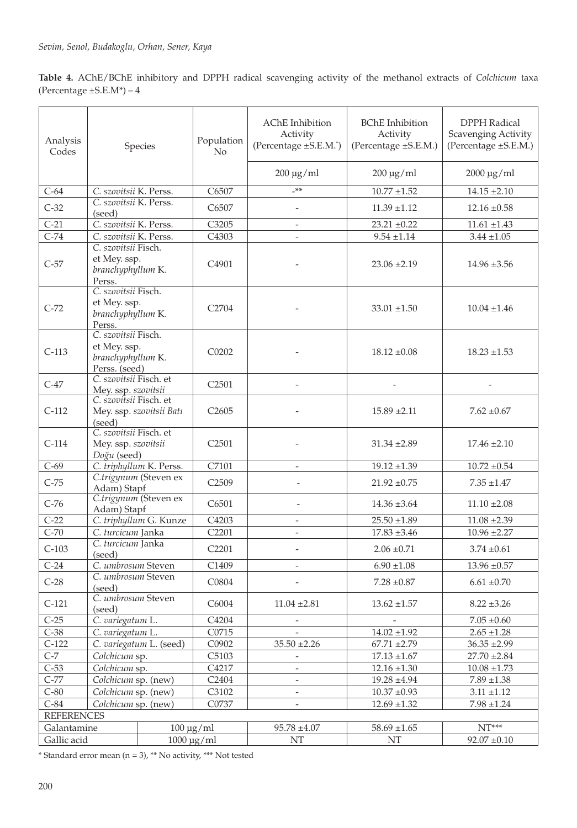**Table 4.** AChE/BChE inhibitory and DPPH radical scavenging activity of the methanol extracts of *Colchicum* taxa (Percentage  $\pm$ S.E.M\*) – 4

| Analysis<br>Codes                                                                                  | Species                                                                   |       | Population<br>No   | <b>AChE</b> Inhibition<br>Activity<br>(Percentage ±S.E.M. <sup>*</sup> ) | <b>BChE</b> Inhibition<br>Activity<br>(Percentage ±S.E.M.) | <b>DPPH Radical</b><br>Scavenging Activity<br>(Percentage ±S.E.M.) |  |
|----------------------------------------------------------------------------------------------------|---------------------------------------------------------------------------|-------|--------------------|--------------------------------------------------------------------------|------------------------------------------------------------|--------------------------------------------------------------------|--|
|                                                                                                    |                                                                           |       |                    | $200 \mu g/ml$                                                           | $200 \mu g/ml$                                             | $2000 \mu g/ml$                                                    |  |
| $C-64$                                                                                             | C. szovitsii K. Perss.                                                    |       | C6507              | $***$                                                                    | $10.77 \pm 1.52$                                           | $14.15 \pm 2.10$                                                   |  |
| $C-32$                                                                                             | C. szovitsii K. Perss.<br>(seed)                                          |       | C6507              | $\overline{\phantom{a}}$                                                 | $11.39 \pm 1.12$                                           | $12.16 \pm 0.58$                                                   |  |
| $C-21$                                                                                             | C. szovitsii K. Perss.                                                    |       | C3205              | $\overline{\phantom{a}}$                                                 | $23.21 \pm 0.22$                                           | $11.61 \pm 1.43$                                                   |  |
| $C-74$                                                                                             | C. szovitsii K. Perss.                                                    |       | C4303              | $\overline{\phantom{a}}$                                                 | $9.54 \pm 1.14$                                            | $3.44 \pm 1.05$                                                    |  |
| $C-57$                                                                                             | C. szovitsii Fisch.<br>et Mey. ssp.<br>branchyphyllum K.<br>Perss.        |       | C4901              |                                                                          | $23.06 \pm 2.19$                                           | $14.96 \pm 3.56$                                                   |  |
| $C-72$                                                                                             | C. szovitsii Fisch.<br>et Mey. ssp.<br>branchyphyllum K.<br>Perss.        |       | C <sub>2704</sub>  |                                                                          | $33.01 \pm 1.50$                                           | $10.04 \pm 1.46$                                                   |  |
| $C-113$                                                                                            | C. szovitsii Fisch.<br>et Mey. ssp.<br>branchyphyllum K.<br>Perss. (seed) |       | C <sub>0202</sub>  |                                                                          | $18.12 \pm 0.08$                                           | $18.23 \pm 1.53$                                                   |  |
| $C-47$                                                                                             | C. szovitsii Fisch. et<br>Mey. ssp. szovitsii                             |       | C <sub>2501</sub>  |                                                                          |                                                            |                                                                    |  |
| $C-112$                                                                                            | C. szovitsii Fisch. et<br>Mey. ssp. szovitsii Batı<br>(seed)              |       | C <sub>26</sub> 05 |                                                                          | $15.89 \pm 2.11$                                           | $7.62 \pm 0.67$                                                    |  |
| $C-114$                                                                                            | C. szovitsii Fisch. et<br>Mey. ssp. szovitsii<br>Doğu (seed)              |       | C <sub>2501</sub>  |                                                                          | $31.34 \pm 2.89$                                           | $17.46 \pm 2.10$                                                   |  |
| $C-69$                                                                                             | C. triphyllum K. Perss.                                                   |       | C7101              |                                                                          | $19.12 \pm 1.39$                                           | $10.72 \pm 0.54$                                                   |  |
| $C-75$                                                                                             | C.trigynum (Steven ex<br>Adam) Stapf                                      |       | C <sub>2509</sub>  | $\overline{a}$                                                           | $21.92 \pm 0.75$                                           | $7.35 + 1.47$                                                      |  |
| $C-76$                                                                                             | C.trigynum (Steven ex<br>Adam) Stapf                                      |       | C6501              | $\overline{a}$                                                           | $14.36 \pm 3.64$                                           | $11.10 \pm 2.08$                                                   |  |
| $C-22$                                                                                             | C. triphyllum G. Kunze                                                    |       | C4203              | $\overline{\phantom{a}}$                                                 | $25.50 \pm 1.89$                                           | $11.08 \pm 2.39$                                                   |  |
| $C-70$                                                                                             | C. turcicum Janka                                                         |       | C2201              | $\overline{\phantom{a}}$                                                 | $17.83 + 3.46$                                             | $10.96 \pm 2.27$                                                   |  |
| $C-103$                                                                                            | C. turcicum Janka<br>(seed)                                               |       | C <sub>2201</sub>  |                                                                          | $2.06 \pm 0.71$                                            | $3.74 \pm 0.61$                                                    |  |
| $C-24$                                                                                             | C. umbrosum Steven                                                        |       | C1409              |                                                                          | $6.90 \pm 1.08$                                            | $13.96 \pm 0.57$                                                   |  |
| $C-28$                                                                                             | C. umbrosum Steven<br>(seed)                                              |       | C0804              |                                                                          | $7.28 \pm 0.87$                                            | $6.61 \pm 0.70$                                                    |  |
| $C-121$                                                                                            | C. umbrosum Steven<br>(seed)                                              |       | C6004              | $11.04 \pm 2.81$                                                         | $13.62 \pm 1.57$                                           | $8.22 \pm 3.26$                                                    |  |
| $C-25$                                                                                             | C. variegatum L.                                                          |       | C4204              | $\overline{\phantom{a}}$                                                 |                                                            | $7.05 \pm 0.60$                                                    |  |
| $C-38$                                                                                             | C. variegatum L.                                                          | C0715 |                    |                                                                          | $14.02 \pm 1.92$                                           | $2.65 \pm 1.28$                                                    |  |
| $C-122$                                                                                            | C. variegatum L. (seed)                                                   |       | C0902              | $35.50 \pm 2.26$                                                         | $67.71 + 2.79$                                             | $36.35 + 2.99$                                                     |  |
| $C-7$                                                                                              | Colchicum sp.                                                             |       | C5103              |                                                                          | $17.13 \pm 1.67$                                           | $27.70 \pm 2.84$                                                   |  |
| $C-53$                                                                                             | Colchicum sp.                                                             |       | C4217              | $\overline{\phantom{a}}$                                                 | $12.16 \pm 1.30$                                           | $10.08 \pm 1.73$                                                   |  |
| $C-77$                                                                                             | Colchicum sp. (new)                                                       |       | C2404              | $\overline{\phantom{a}}$                                                 | $19.28 + 4.94$                                             | $7.89 \pm 1.38$                                                    |  |
| $C-80$                                                                                             | Colchicum sp. (new)                                                       |       | C3102              |                                                                          | $10.37\; {\pm}0.93$                                        | $3.11 \pm 1.12$                                                    |  |
| $C-84$<br>Colchicum sp. (new)<br>C0737<br>$12.69 \pm 1.32$<br>$7.98 \pm 1.24$<br><b>REFERENCES</b> |                                                                           |       |                    |                                                                          |                                                            |                                                                    |  |
| $NT***$<br>Galantamine<br>$100 \mu g/ml$<br>$95.78 \pm 4.07$<br>$58.69 \pm 1.65$                   |                                                                           |       |                    |                                                                          |                                                            |                                                                    |  |
| Gallic acid                                                                                        |                                                                           |       | $1000 \mu g/ml$    | NT                                                                       | NT                                                         | $92.07 \pm 0.10$                                                   |  |
|                                                                                                    |                                                                           |       |                    |                                                                          |                                                            |                                                                    |  |